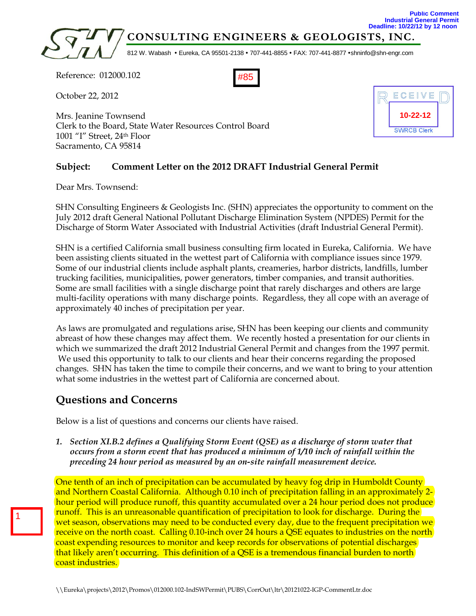

#85

Reference: 012000.102

October 22, 2012

Mrs. Jeanine Townsend Clerk to the Board, State Water Resources Control Board 1001 "I" Street, 24th Floor Sacramento, CA 95814

# ECEIVE **10-22-12 SWRCB Clerk**

**Public Comment**

## **Subject: Comment Letter on the 2012 DRAFT Industrial General Permit**

Dear Mrs. Townsend:

SHN Consulting Engineers & Geologists Inc. (SHN) appreciates the opportunity to comment on the July 2012 draft General National Pollutant Discharge Elimination System (NPDES) Permit for the Discharge of Storm Water Associated with Industrial Activities (draft Industrial General Permit).

SHN is a certified California small business consulting firm located in Eureka, California. We have been assisting clients situated in the wettest part of California with compliance issues since 1979. Some of our industrial clients include asphalt plants, creameries, harbor districts, landfills, lumber trucking facilities, municipalities, power generators, timber companies, and transit authorities. Some are small facilities with a single discharge point that rarely discharges and others are large multi-facility operations with many discharge points. Regardless, they all cope with an average of approximately 40 inches of precipitation per year.

As laws are promulgated and regulations arise, SHN has been keeping our clients and community abreast of how these changes may affect them. We recently hosted a presentation for our clients in which we summarized the draft 2012 Industrial General Permit and changes from the 1997 permit. We used this opportunity to talk to our clients and hear their concerns regarding the proposed changes. SHN has taken the time to compile their concerns, and we want to bring to your attention what some industries in the wettest part of California are concerned about.

# **Questions and Concerns**

1

Below is a list of questions and concerns our clients have raised.

*1. Section XI.B.2 defines a Qualifying Storm Event (QSE) as a discharge of storm water that occurs from a storm event that has produced a minimum of 1/10 inch of rainfall within the preceding 24 hour period as measured by an on-site rainfall measurement device.*

One tenth of an inch of precipitation can be accumulated by heavy fog drip in Humboldt County and Northern Coastal California. Although 0.10 inch of precipitation falling in an approximately 2 hour period will produce runoff, this quantity accumulated over a 24 hour period does not produce runoff. This is an unreasonable quantification of precipitation to look for discharge. During the wet season, observations may need to be conducted every day, due to the frequent precipitation we receive on the north coast. Calling 0.10-inch over 24 hours a QSE equates to industries on the north coast expending resources to monitor and keep records for observations of potential discharges that likely aren't occurring. This definition of a QSE is a tremendous financial burden to north coast industries.

\\Eureka\projects\2012\Promos\012000.102-IndSWPermit\PUBS\CorrOut\ltr\20121022-IGP-CommentLtr.doc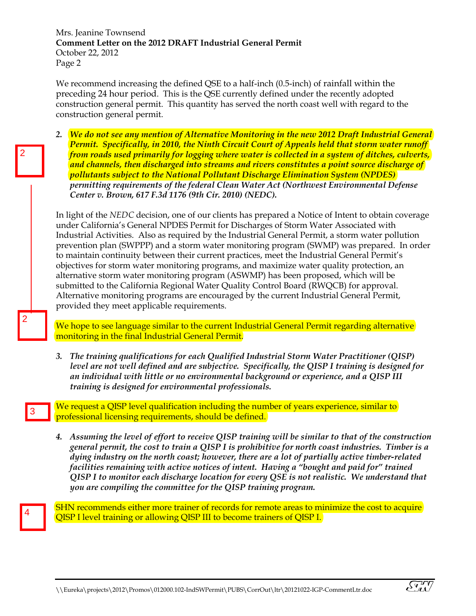Mrs. Jeanine Townsend **Comment Letter on the 2012 DRAFT Industrial General Permit**  October 22, 2012 Page 2

We recommend increasing the defined QSE to a half-inch (0.5-inch) of rainfall within the preceding 24 hour period. This is the QSE currently defined under the recently adopted construction general permit. This quantity has served the north coast well with regard to the construction general permit.

*2. We do not see any mention of Alternative Monitoring in the new 2012 Draft Industrial General Permit. Specifically, in 2010, the Ninth Circuit Court of Appeals held that storm water runoff from roads used primarily for logging where water is collected in a system of ditches, culverts, and channels, then discharged into streams and rivers constitutes a point source discharge of pollutants subject to the National Pollutant Discharge Elimination System (NPDES) permitting requirements of the federal Clean Water Act (Northwest Environmental Defense Center v. Brown, 617 F.3d 1176 (9th Cir. 2010) (NEDC).* 

In light of the *NEDC* decision, one of our clients has prepared a Notice of Intent to obtain coverage under California's General NPDES Permit for Discharges of Storm Water Associated with Industrial Activities. Also as required by the Industrial General Permit, a storm water pollution prevention plan (SWPPP) and a storm water monitoring program (SWMP) was prepared. In order to maintain continuity between their current practices, meet the Industrial General Permit's objectives for storm water monitoring programs, and maximize water quality protection, an alternative storm water monitoring program (ASWMP) has been proposed, which will be submitted to the California Regional Water Quality Control Board (RWQCB) for approval. Alternative monitoring programs are encouraged by the current Industrial General Permit, provided they meet applicable requirements.

We hope to see language similar to the current Industrial General Permit regarding alternative monitoring in the final Industrial General Permit.

*3. The training qualifications for each Qualified Industrial Storm Water Practitioner (QISP) level are not well defined and are subjective. Specifically, the QISP I training is designed for an individual with little or no environmental background or experience, and a QISP III training is designed for environmental professionals.* 

We request a QISP level qualification including the number of years experience, similar to professional licensing requirements, should be defined.

*4. Assuming the level of effort to receive QISP training will be similar to that of the construction general permit, the cost to train a QISP I is prohibitive for north coast industries. Timber is a dying industry on the north coast; however, there are a lot of partially active timber-related facilities remaining with active notices of intent. Having a "bought and paid for" trained QISP I to monitor each discharge location for every QSE is not realistic. We understand that you are compiling the committee for the QISP training program.* 

4

3

2

2

SHN recommends either more trainer of records for remote areas to minimize the cost to acquire QISP I level training or allowing QISP III to become trainers of QISP I.

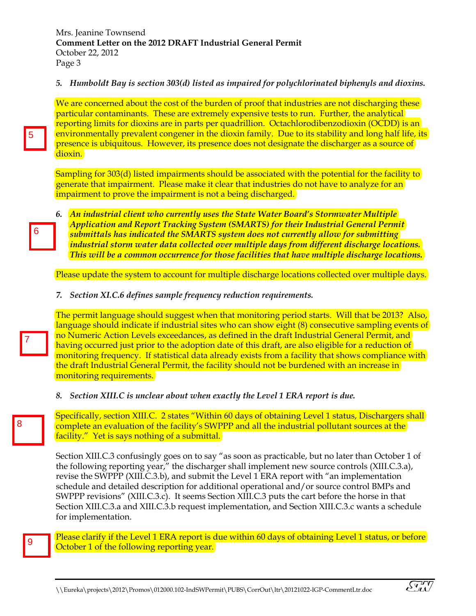#### *5. Humboldt Bay is section 303(d) listed as impaired for polychlorinated biphenyls and dioxins.*

We are concerned about the cost of the burden of proof that industries are not discharging these particular contaminants. These are extremely expensive tests to run. Further, the analytical reporting limits for dioxins are in parts per quadrillion. Octachlorodibenzodioxin (OCDD) is an environmentally prevalent congener in the dioxin family. Due to its stability and long half life, its presence is ubiquitous. However, its presence does not designate the discharger as a source of dioxin.

Sampling for 303(d) listed impairments should be associated with the potential for the facility to generate that impairment. Please make it clear that industries do not have to analyze for an impairment to prove the impairment is not a being discharged.

*6. An industrial client who currently uses the State Water Board's Stormwater Multiple Application and Report Tracking System (SMARTS) for their Industrial General Permit submittals has indicated the SMARTS system does not currently allow for submitting industrial storm water data collected over multiple days from different discharge locations. This will be a common occurrence for those facilities that have multiple discharge locations.* 

Please update the system to account for multiple discharge locations collected over multiple days.

*7. Section XI.C.6 defines sample frequency reduction requirements.* 

The permit language should suggest when that monitoring period starts. Will that be 2013? Also, language should indicate if industrial sites who can show eight (8) consecutive sampling events of no Numeric Action Levels exceedances, as defined in the draft Industrial General Permit, and having occurred just prior to the adoption date of this draft, are also eligible for a reduction of monitoring frequency. If statistical data already exists from a facility that shows compliance with the draft Industrial General Permit, the facility should not be burdened with an increase in monitoring requirements.

*8. Section XIII.C is unclear about when exactly the Level 1 ERA report is due.* 

Specifically, section XIII.C. 2 states "Within 60 days of obtaining Level 1 status, Dischargers shall complete an evaluation of the facility's SWPPP and all the industrial pollutant sources at the facility." Yet is says nothing of a submittal.

Section XIII.C.3 confusingly goes on to say "as soon as practicable, but no later than October 1 of the following reporting year," the discharger shall implement new source controls (XIII.C.3.a), revise the SWPPP (XIII.C.3.b), and submit the Level 1 ERA report with "an implementation schedule and detailed description for additional operational and/or source control BMPs and SWPPP revisions" (XIII.C.3.c). It seems Section XIII.C.3 puts the cart before the horse in that Section XIII.C.3.a and XIII.C.3.b request implementation, and Section XIII.C.3.c wants a schedule for implementation.

Please clarify if the Level 1 ERA report is due within 60 days of obtaining Level 1 status, or before October 1 of the following reporting year.

 $\widetilde{S_M}$ 

9

7

5

6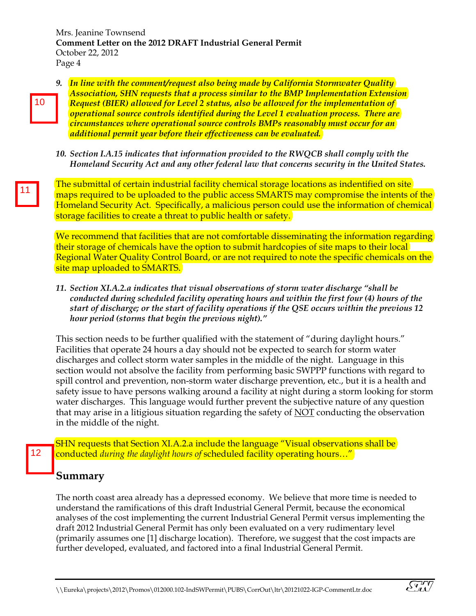Mrs. Jeanine Townsend **Comment Letter on the 2012 DRAFT Industrial General Permit**  October 22, 2012 Page 4

10

*9. In line with the comment/request also being made by California Stormwater Quality Association, SHN requests that a process similar to the BMP Implementation Extension Request (BIER) allowed for Level 2 status, also be allowed for the implementation of operational source controls identified during the Level 1 evaluation process. There are circumstances where operational source controls BMPs reasonably must occur for an additional permit year before their effectiveness can be evaluated.* 

*10. Section I.A.15 indicates that information provided to the RWQCB shall comply with the Homeland Security Act and any other federal law that concerns security in the United States.* 

The submittal of certain industrial facility chemical storage locations as indentified on site maps required to be uploaded to the public access SMARTS may compromise the intents of the Homeland Security Act. Specifically, a malicious person could use the information of chemical storage facilities to create a threat to public health or safety.

We recommend that facilities that are not comfortable disseminating the information regarding their storage of chemicals have the option to submit hardcopies of site maps to their local Regional Water Quality Control Board, or are not required to note the specific chemicals on the site map uploaded to SMARTS.

*11. Section XI.A.2.a indicates that visual observations of storm water discharge "shall be conducted during scheduled facility operating hours and within the first four (4) hours of the start of discharge; or the start of facility operations if the QSE occurs within the previous 12 hour period (storms that begin the previous night)."*

This section needs to be further qualified with the statement of "during daylight hours." Facilities that operate 24 hours a day should not be expected to search for storm water discharges and collect storm water samples in the middle of the night. Language in this section would not absolve the facility from performing basic SWPPP functions with regard to spill control and prevention, non-storm water discharge prevention, etc., but it is a health and safety issue to have persons walking around a facility at night during a storm looking for storm water discharges. This language would further prevent the subjective nature of any question that may arise in a litigious situation regarding the safety of NOT conducting the observation in the middle of the night.

11 | 12<br>| 12<br>| 12 SHN requests that Section XI.A.2.a include the language "Visual observations shall be  $12<sub>2</sub>$ conducted *during the daylight hours of* scheduled facility operating hours…"

# **Summary**

The north coast area already has a depressed economy. We believe that more time is needed to understand the ramifications of this draft Industrial General Permit, because the economical analyses of the cost implementing the current Industrial General Permit versus implementing the draft 2012 Industrial General Permit has only been evaluated on a very rudimentary level (primarily assumes one [1] discharge location). Therefore, we suggest that the cost impacts are further developed, evaluated, and factored into a final Industrial General Permit.

 $\widetilde{S_M}$